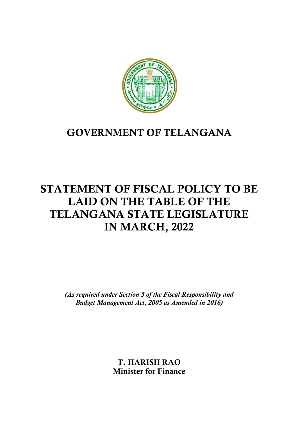

# GOVERNMENT OF TELANGANA

# STATEMENT OF FISCAL POLICY TO BE LAID ON THE TABLE OF THE TELANGANA STATE LEGISLATURE IN MARCH, 2022

(As required under Section 5 of the Fiscal Responsibility and Budget Management Act, 2005 as Amended in 2016)

> T. HARISH RAO Minister for Finance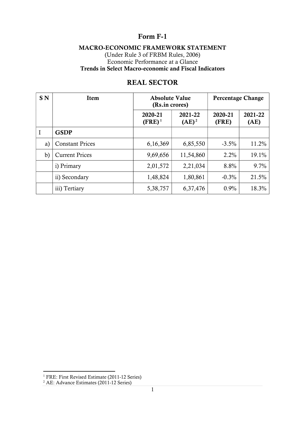# Form F-1

## MACRO-ECONOMIC FRAMEWORK STATEMENT

(Under Rule 3 of FRBM Rules, 2006) Economic Performance at a Glance Trends in Select Macro-economic and Fiscal Indicators

| <b>SN</b> | Item                   | <b>Absolute Value</b><br>(Rs.in crores) |                     | <b>Percentage Change</b> |                 |  |
|-----------|------------------------|-----------------------------------------|---------------------|--------------------------|-----------------|--|
|           |                        | 2020-21<br>$(FRE)^1$                    | 2021-22<br>$(AE)^2$ | 2020-21<br>(FRE)         | 2021-22<br>(AE) |  |
| I         | <b>GSDP</b>            |                                         |                     |                          |                 |  |
| a)        | <b>Constant Prices</b> | 6,16,369                                | 6,85,550            | $-3.5\%$                 | 11.2%           |  |
| b)        | <b>Current Prices</b>  | 9,69,656                                | 11,54,860           | 2.2%                     | 19.1%           |  |
|           | i) Primary             | 2,01,572                                | 2,21,034            | 8.8%                     | 9.7%            |  |
|           | ii) Secondary          | 1,48,824                                | 1,80,861            | $-0.3%$                  | 21.5%           |  |
|           | iii) Tertiary          | 5,38,757                                | 6,37,476            | 0.9%                     | 18.3%           |  |

# REAL SECTOR

<sup>&</sup>lt;sup>1</sup> FRE: First Revised Estimate (2011-12 Series)<br><sup>2</sup> AE: Advance Estimates (2011-12 Series)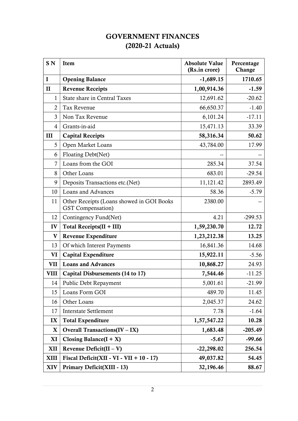# GOVERNMENT FINANCES (2020-21 Actuals)

| SN <sub>N</sub> | Item                                                                  | <b>Absolute Value</b><br>(Rs.in crore) | Percentage<br>Change |
|-----------------|-----------------------------------------------------------------------|----------------------------------------|----------------------|
| $\bf{I}$        | <b>Opening Balance</b>                                                | $-1,689.15$                            | 1710.65              |
| $\mathbf{I}$    | <b>Revenue Receipts</b>                                               | 1,00,914.36                            | $-1.59$              |
| $\mathbf{1}$    | State share in Central Taxes                                          | 12,691.62                              | $-20.62$             |
| $\overline{2}$  | <b>Tax Revenue</b>                                                    | 66,650.37                              | $-1.40$              |
| 3               | Non Tax Revenue                                                       | 6,101.24                               | $-17.11$             |
| 4               | Grants-in-aid                                                         | 15,471.13                              | 33.39                |
| $\mathbf{I}$    | <b>Capital Receipts</b>                                               | 58,316.34                              | 50.62                |
| 5               | Open Market Loans                                                     | 43,784.00                              | 17.99                |
| 6               | Floating Debt(Net)                                                    |                                        |                      |
| 7               | Loans from the GOI                                                    | 285.34                                 | 37.54                |
| 8               | Other Loans                                                           | 683.01                                 | $-29.54$             |
| 9               | Deposits Transactions etc.(Net)                                       | 11,121.42                              | 2893.49              |
| 10              | <b>Loans and Advances</b>                                             | 58.36                                  | $-5.79$              |
| 11              | Other Receipts (Loans showed in GOI Books<br><b>GST</b> Compensation) | 2380.00                                |                      |
| 12              | Contingency Fund(Net)                                                 | 4.21                                   | $-299.53$            |
| IV              | Total Receipts $(II + III)$                                           | 1,59,230.70                            | 12.72                |
| $\mathbf{V}$    | Revenue Expenditure                                                   | 1,23,212.38                            | 13.25                |
| 13              | Of which Interest Payments                                            | 16,841.36                              | 14.68                |
| VI              | Capital Expenditure                                                   | 15,922.11                              | $-5.56$              |
| <b>VII</b>      | <b>Loans and Advances</b>                                             | 10,868.27                              | 24.93                |
| <b>VIII</b>     | Capital Disbursements (14 to 17)                                      | 7,544.46                               | $-11.25$             |
| 14              | Public Debt Repayment                                                 | 5,001.61                               | $-21.99$             |
| 15              | Loans Form GOI                                                        | 489.70                                 | 11.45                |
| 16              | Other Loans                                                           | 2,045.37                               | 24.62                |
| 17              | <b>Interstate Settlement</b>                                          | 7.78                                   | $-1.64$              |
| IX              | <b>Total Expenditure</b>                                              | 1,57,547.22                            | 10.28                |
| X               | Overall Transactions( $IV - IX$ )                                     | 1,683.48                               | $-205.49$            |
| XI              | Closing Balance $(I + X)$                                             | $-5.67$                                | $-99.66$             |
| XII             | Revenue Deficit $(II - V)$                                            | $-22,298.02$                           | 256.54               |
| <b>XIII</b>     | Fiscal Deficit(XII - VI - VII + $10 - 17$ )                           | 49,037.82                              | 54.45                |
| <b>XIV</b>      | Primary Deficit(XIII - 13)                                            | 32,196.46                              | 88.67                |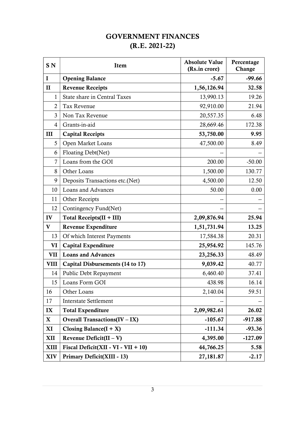# GOVERNMENT FINANCES (R.E. 2021-22)

| SN <sub>N</sub> | Item                                 | <b>Absolute Value</b><br>(Rs.in crore) | Percentage<br>Change |
|-----------------|--------------------------------------|----------------------------------------|----------------------|
| $\mathbf I$     | <b>Opening Balance</b>               | $-5.67$                                | $-99.66$             |
| $\mathbf{I}$    | <b>Revenue Receipts</b>              | 1,56,126.94                            | 32.58                |
| 1               | <b>State share in Central Taxes</b>  | 13,990.13                              | 19.26                |
| $\overline{2}$  | <b>Tax Revenue</b>                   | 92,910.00                              | 21.94                |
| 3               | Non Tax Revenue                      | 20,557.35                              | 6.48                 |
| $\overline{4}$  | Grants-in-aid                        | 28,669.46                              | 172.38               |
| Ш               | <b>Capital Receipts</b>              | 53,750.00                              | 9.95                 |
| 5               | Open Market Loans                    | 47,500.00                              | 8.49                 |
| 6               | Floating Debt(Net)                   |                                        |                      |
| 7               | Loans from the GOI                   | 200.00                                 | $-50.00$             |
| 8               | Other Loans                          | 1,500.00                               | 130.77               |
| 9               | Deposits Transactions etc.(Net)      | 4,500.00                               | 12.50                |
| 10              | Loans and Advances                   | 50.00                                  | 0.00                 |
| 11              | <b>Other Receipts</b>                |                                        |                      |
| 12              | Contingency Fund(Net)                |                                        |                      |
| IV              | Total Receipts $(II + III)$          | 2,09,876.94                            | 25.94                |
| $\mathbf{V}$    | <b>Revenue Expenditure</b>           | 1,51,731.94                            | 13.25                |
| 13              | Of which Interest Payments           | 17,584.38                              | 20.31                |
| VI              | <b>Capital Expenditure</b>           | 25,954.92                              | 145.76               |
| VII             | <b>Loans and Advances</b>            | 23,256.33                              | 48.49                |
| <b>VIII</b>     | Capital Disbursements (14 to 17)     | 9,039.42                               | 40.77                |
| 14              | Public Debt Repayment                | 6,460.40                               | 37.41                |
| 15              | Loans Form GOI                       | 438.98                                 | 16.14                |
| 16              | Other Loans                          | 2,140.04                               | 59.51                |
| 17              | <b>Interstate Settlement</b>         |                                        |                      |
| IX              | <b>Total Expenditure</b>             | 2,09,982.61                            | 26.02                |
| $\mathbf{X}$    | <b>Overall Transactions(IV - IX)</b> | $-105.67$                              | $-917.88$            |
| XI              | Closing Balance $(I + X)$            | $-111.34$                              | $-93.36$             |
| <b>XII</b>      | Revenue Deficit $(II - V)$           | 4,395.00                               | $-127.09$            |
| <b>XIII</b>     | Fiscal Deficit(XII - VI - VII + 10)  | 44,766.25                              | 5.58                 |
| <b>XIV</b>      | Primary Deficit(XIII - 13)           | 27,181.87                              | $-2.17$              |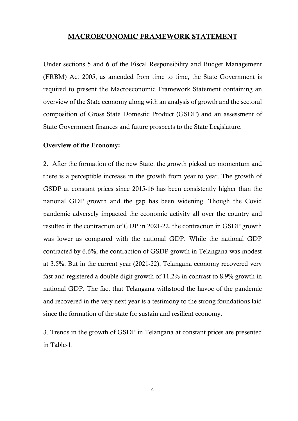## MACROECONOMIC FRAMEWORK STATEMENT

Under sections 5 and 6 of the Fiscal Responsibility and Budget Management (FRBM) Act 2005, as amended from time to time, the State Government is required to present the Macroeconomic Framework Statement containing an overview of the State economy along with an analysis of growth and the sectoral composition of Gross State Domestic Product (GSDP) and an assessment of State Government finances and future prospects to the State Legislature.

#### Overview of the Economy:

2. After the formation of the new State, the growth picked up momentum and there is a perceptible increase in the growth from year to year. The growth of GSDP at constant prices since 2015-16 has been consistently higher than the national GDP growth and the gap has been widening. Though the Covid pandemic adversely impacted the economic activity all over the country and resulted in the contraction of GDP in 2021-22, the contraction in GSDP growth was lower as compared with the national GDP. While the national GDP contracted by 6.6%, the contraction of GSDP growth in Telangana was modest at 3.5%. But in the current year (2021-22), Telangana economy recovered very fast and registered a double digit growth of 11.2% in contrast to 8.9% growth in national GDP. The fact that Telangana withstood the havoc of the pandemic and recovered in the very next year is a testimony to the strong foundations laid since the formation of the state for sustain and resilient economy.

3. Trends in the growth of GSDP in Telangana at constant prices are presented in Table-1.

4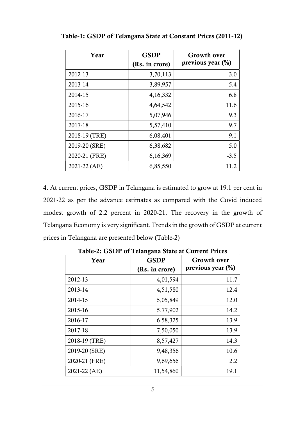| Year          | <b>GSDP</b><br>(Rs. in crore) | <b>Growth over</b><br>previous year $(\%)$ |
|---------------|-------------------------------|--------------------------------------------|
| 2012-13       | 3,70,113                      | 3.0                                        |
| 2013-14       | 3,89,957                      | 5.4                                        |
| 2014-15       | 4,16,332                      | 6.8                                        |
| 2015-16       | 4,64,542                      | 11.6                                       |
| 2016-17       | 5,07,946                      | 9.3                                        |
| 2017-18       | 5,57,410                      | 9.7                                        |
| 2018-19 (TRE) | 6,08,401                      | 9.1                                        |
| 2019-20 (SRE) | 6,38,682                      | 5.0                                        |
| 2020-21 (FRE) | 6,16,369                      | $-3.5$                                     |
| 2021-22 (AE)  | 6,85,550                      | 112                                        |

Table-1: GSDP of Telangana State at Constant Prices (2011-12)

4. At current prices, GSDP in Telangana is estimated to grow at 19.1 per cent in 2021-22 as per the advance estimates as compared with the Covid induced modest growth of 2.2 percent in 2020-21. The recovery in the growth of Telangana Economy is very significant. Trends in the growth of GSDP at current prices in Telangana are presented below (Table-2)

| Year          | <b>GSDP</b>    | <b>Growth over</b>   |
|---------------|----------------|----------------------|
|               | (Rs. in crore) | previous year $(\%)$ |
| 2012-13       | 4,01,594       | 11.7                 |
| 2013-14       | 4,51,580       | 12.4                 |
| 2014-15       | 5,05,849       | 12.0                 |
| 2015-16       | 5,77,902       | 14.2                 |
| 2016-17       | 6,58,325       | 13.9                 |
| 2017-18       | 7,50,050       | 13.9                 |
| 2018-19 (TRE) | 8,57,427       | 14.3                 |
| 2019-20 (SRE) | 9,48,356       | 10.6                 |
| 2020-21 (FRE) | 9,69,656       | 2.2                  |
| 2021-22 (AE)  | 11,54,860      | 19.1                 |

Table-2: GSDP of Telangana State at Current Prices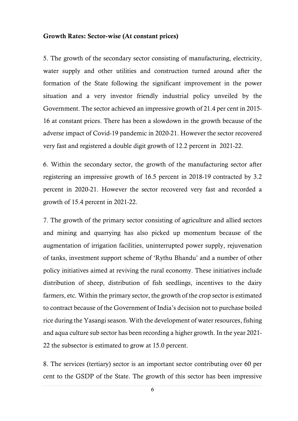#### Growth Rates: Sector-wise (At constant prices)

5. The growth of the secondary sector consisting of manufacturing, electricity, water supply and other utilities and construction turned around after the formation of the State following the significant improvement in the power situation and a very investor friendly industrial policy unveiled by the Government. The sector achieved an impressive growth of 21.4 per cent in 2015- 16 at constant prices. There has been a slowdown in the growth because of the adverse impact of Covid-19 pandemic in 2020-21. However the sector recovered very fast and registered a double digit growth of 12.2 percent in 2021-22.

6. Within the secondary sector, the growth of the manufacturing sector after registering an impressive growth of 16.5 percent in 2018-19 contracted by 3.2 percent in 2020-21. However the sector recovered very fast and recorded a growth of 15.4 percent in 2021-22.

7. The growth of the primary sector consisting of agriculture and allied sectors and mining and quarrying has also picked up momentum because of the augmentation of irrigation facilities, uninterrupted power supply, rejuvenation of tanks, investment support scheme of 'Rythu Bhandu' and a number of other policy initiatives aimed at reviving the rural economy. These initiatives include distribution of sheep, distribution of fish seedlings, incentives to the dairy farmers, etc. Within the primary sector, the growth of the crop sector is estimated to contract because of the Government of India's decision not to purchase boiled rice during the Yasangi season. With the development of water resources, fishing and aqua culture sub sector has been recording a higher growth. In the year 2021- 22 the subsector is estimated to grow at 15.0 percent.

8. The services (tertiary) sector is an important sector contributing over 60 per cent to the GSDP of the State. The growth of this sector has been impressive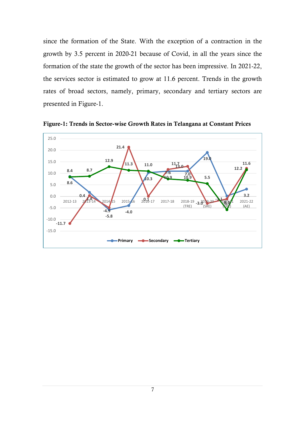since the formation of the State. With the exception of a contraction in the growth by 3.5 percent in 2020-21 because of Covid, in all the years since the formation of the state the growth of the sector has been impressive. In 2021-22, the services sector is estimated to grow at 11.6 percent. Trends in the growth rates of broad sectors, namely, primary, secondary and tertiary sectors are presented in Figure-1.



Figure-1: Trends in Sector-wise Growth Rates in Telangana at Constant Prices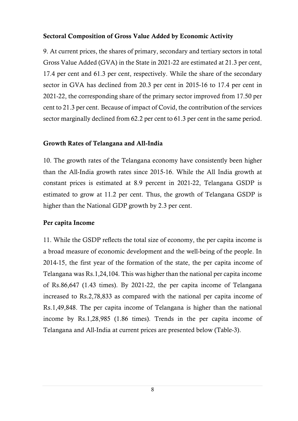## Sectoral Composition of Gross Value Added by Economic Activity

9. At current prices, the shares of primary, secondary and tertiary sectors in total Gross Value Added (GVA) in the State in 2021-22 are estimated at 21.3 per cent, 17.4 per cent and 61.3 per cent, respectively. While the share of the secondary sector in GVA has declined from 20.3 per cent in 2015-16 to 17.4 per cent in 2021-22, the corresponding share of the primary sector improved from 17.50 per cent to 21.3 per cent. Because of impact of Covid, the contribution of the services sector marginally declined from 62.2 per cent to 61.3 per cent in the same period.

## Growth Rates of Telangana and All-India

10. The growth rates of the Telangana economy have consistently been higher than the All-India growth rates since 2015-16. While the All India growth at constant prices is estimated at 8.9 percent in 2021-22, Telangana GSDP is estimated to grow at 11.2 per cent. Thus, the growth of Telangana GSDP is higher than the National GDP growth by 2.3 per cent.

## Per capita Income

11. While the GSDP reflects the total size of economy, the per capita income is a broad measure of economic development and the well-being of the people. In 2014-15, the first year of the formation of the state, the per capita income of Telangana was Rs.1,24,104. This was higher than the national per capita income of Rs.86,647 (1.43 times). By 2021-22, the per capita income of Telangana increased to Rs.2,78,833 as compared with the national per capita income of Rs.1,49,848. The per capita income of Telangana is higher than the national income by Rs.1,28,985 (1.86 times). Trends in the per capita income of Telangana and All-India at current prices are presented below (Table-3).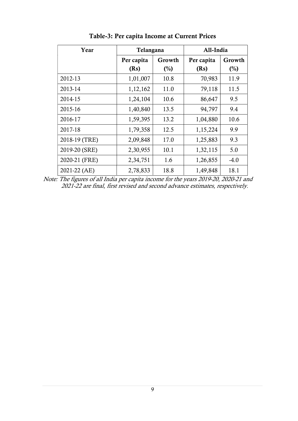| Year          | Telangana  |                | All-India  |        |  |
|---------------|------------|----------------|------------|--------|--|
|               | Per capita | Growth         | Per capita | Growth |  |
|               | (Rs)       | $\binom{0}{0}$ | (Rs)       | $(\%)$ |  |
| 2012-13       | 1,01,007   | 10.8           | 70,983     | 11.9   |  |
| 2013-14       | 1,12,162   | 11.0           | 79,118     | 11.5   |  |
| 2014-15       | 1,24,104   | 10.6           | 86,647     | 9.5    |  |
| 2015-16       | 1,40,840   | 13.5           | 94,797     | 9.4    |  |
| 2016-17       | 1,59,395   | 13.2           | 1,04,880   | 10.6   |  |
| 2017-18       | 1,79,358   | 12.5           | 1,15,224   | 9.9    |  |
| 2018-19 (TRE) | 2,09,848   | 17.0           | 1,25,883   | 9.3    |  |
| 2019-20 (SRE) | 2,30,955   | 10.1           | 1,32,115   | 5.0    |  |
| 2020-21 (FRE) | 2,34,751   | 1.6            | 1,26,855   | $-4.0$ |  |
| 2021-22 (AE)  | 2,78,833   | 18.8           | 1,49,848   | 18.1   |  |

Table-3: Per capita Income at Current Prices

Note: The figures of all India per capita income for the years 2019-20, 2020-21 and 2021-22 are final, first revised and second advance estimates, respectively.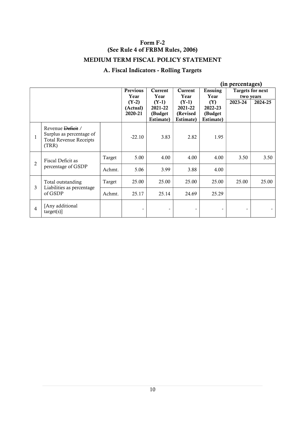# Form F-2 (See Rule 4 of FRBM Rules, 2006) MEDIUM TERM FISCAL POLICY STATEMENT

# A. Fiscal Indicators - Rolling Targets

| (in percentages) |                                                                                         |        |                                |                                             |                                             |                                         |         |                                      |
|------------------|-----------------------------------------------------------------------------------------|--------|--------------------------------|---------------------------------------------|---------------------------------------------|-----------------------------------------|---------|--------------------------------------|
|                  |                                                                                         |        | Previous<br>Year               | Current<br>Year                             | Current<br>Year                             | Ensuing<br>Year                         |         | <b>Targets for next</b><br>two years |
|                  |                                                                                         |        | $(Y-2)$<br>(Actual)<br>2020-21 | $(Y-1)$<br>2021-22<br>(Budget)<br>Estimate) | $(Y-1)$<br>2021-22<br>(Revised<br>Estimate) | (Y)<br>2022-23<br>(Budget)<br>Estimate) | 2023-24 | 2024-25                              |
| 1                | Revenue Deficit /<br>Surplus as percentage of<br><b>Total Revenue Receipts</b><br>(TRR) |        | $-22.10$                       | 3.83                                        | 2.82                                        | 1.95                                    |         |                                      |
|                  | Fiscal Deficit as                                                                       | Target | 5.00                           | 4.00                                        | 4.00                                        | 4.00                                    | 3.50    | 3.50                                 |
| $\overline{2}$   | percentage of GSDP                                                                      | Achmt. | 5.06                           | 3.99                                        | 3.88                                        | 4.00                                    |         |                                      |
|                  | Total outstanding                                                                       | Target | 25.00                          | 25.00                                       | 25.00                                       | 25.00                                   | 25.00   | 25.00                                |
| 3                | Liabilities as percentage<br>of GSDP                                                    | Achmt. | 25.17                          | 25.14                                       | 24.69                                       | 25.29                                   |         |                                      |
| 4                | [Any additional<br>target(s)]                                                           |        |                                |                                             |                                             |                                         |         |                                      |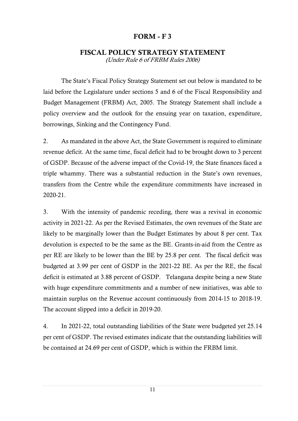## FORM - F 3

#### FISCAL POLICY STRATEGY STATEMENT (Under Rule 6 of FRBM Rules 2006)

The State's Fiscal Policy Strategy Statement set out below is mandated to be laid before the Legislature under sections 5 and 6 of the Fiscal Responsibility and Budget Management (FRBM) Act, 2005. The Strategy Statement shall include a policy overview and the outlook for the ensuing year on taxation, expenditure, borrowings, Sinking and the Contingency Fund.

2. As mandated in the above Act, the State Government is required to eliminate revenue deficit. At the same time, fiscal deficit had to be brought down to 3 percent of GSDP. Because of the adverse impact of the Covid-19, the State finances faced a triple whammy. There was a substantial reduction in the State's own revenues, transfers from the Centre while the expenditure commitments have increased in 2020-21.

3. With the intensity of pandemic receding, there was a revival in economic activity in 2021-22. As per the Revised Estimates, the own revenues of the State are likely to be marginally lower than the Budget Estimates by about 8 per cent. Tax devolution is expected to be the same as the BE. Grants-in-aid from the Centre as per RE are likely to be lower than the BE by 25.8 per cent. The fiscal deficit was budgeted at 3.99 per cent of GSDP in the 2021-22 BE. As per the RE, the fiscal deficit is estimated at 3.88 percent of GSDP. Telangana despite being a new State with huge expenditure commitments and a number of new initiatives, was able to maintain surplus on the Revenue account continuously from 2014-15 to 2018-19. The account slipped into a deficit in 2019-20.

4. In 2021-22, total outstanding liabilities of the State were budgeted yet 25.14 per cent of GSDP. The revised estimates indicate that the outstanding liabilities will be contained at 24.69 per cent of GSDP, which is within the FRBM limit.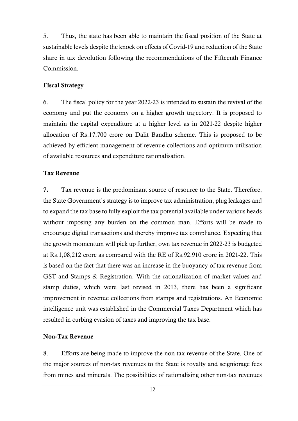5. Thus, the state has been able to maintain the fiscal position of the State at sustainable levels despite the knock on effects of Covid-19 and reduction of the State share in tax devolution following the recommendations of the Fifteenth Finance Commission.

#### Fiscal Strategy

6. The fiscal policy for the year 2022-23 is intended to sustain the revival of the economy and put the economy on a higher growth trajectory. It is proposed to maintain the capital expenditure at a higher level as in 2021-22 despite higher allocation of Rs.17,700 crore on Dalit Bandhu scheme. This is proposed to be achieved by efficient management of revenue collections and optimum utilisation of available resources and expenditure rationalisation.

#### Tax Revenue

7. Tax revenue is the predominant source of resource to the State. Therefore, the State Government's strategy is to improve tax administration, plug leakages and to expand the tax base to fully exploit the tax potential available under various heads without imposing any burden on the common man. Efforts will be made to encourage digital transactions and thereby improve tax compliance. Expecting that the growth momentum will pick up further, own tax revenue in 2022-23 is budgeted at Rs.1,08,212 crore as compared with the RE of Rs.92,910 crore in 2021-22. This is based on the fact that there was an increase in the buoyancy of tax revenue from GST and Stamps & Registration. With the rationalization of market values and stamp duties, which were last revised in 2013, there has been a significant improvement in revenue collections from stamps and registrations. An Economic intelligence unit was established in the Commercial Taxes Department which has resulted in curbing evasion of taxes and improving the tax base.

#### Non-Tax Revenue

8. Efforts are being made to improve the non-tax revenue of the State. One of the major sources of non-tax revenues to the State is royalty and seigniorage fees from mines and minerals. The possibilities of rationalising other non-tax revenues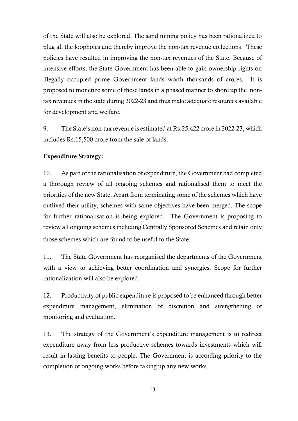of the State will also be explored. The sand mining policy has been rationalized to plug all the loopholes and thereby improve the non-tax revenue collections. These policies have resulted in improving the non-tax revenues of the State. Because of intensive efforts, the State Government has been able to gain ownership rights on illegally occupied prime Government lands worth thousands of crores. It is proposed to monetize some of these lands in a phased manner to shore up the nontax revenues in the state during 2022-23 and thus make adequate resources available for development and welfare.

9. The State's non-tax revenue is estimated at Rs.25,422 crore in 2022-23, which includes Rs.15,500 crore from the sale of lands.

## Expenditure Strategy:

10. As part of the rationalisation of expenditure, the Government had completed a thorough review of all ongoing schemes and rationalised them to meet the priorities of the new State. Apart from terminating some of the schemes which have outlived their utility, schemes with same objectives have been merged. The scope for further rationalisation is being explored. The Government is proposing to review all ongoing schemes including Centrally Sponsored Schemes and retain only those schemes which are found to be useful to the State.

11. The State Government has reorganised the departments of the Government with a view to achieving better coordination and synergies. Scope for further rationalization will also be explored.

12. Productivity of public expenditure is proposed to be enhanced through better expenditure management, elimination of discretion and strengthening of monitoring and evaluation.

13. The strategy of the Government's expenditure management is to redirect expenditure away from less productive schemes towards investments which will result in lasting benefits to people. The Government is according priority to the completion of ongoing works before taking up any new works.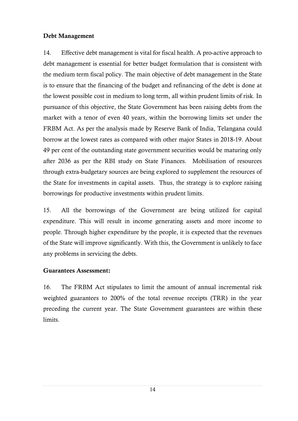## Debt Management

14. Effective debt management is vital for fiscal health. A pro-active approach to debt management is essential for better budget formulation that is consistent with the medium term fiscal policy. The main objective of debt management in the State is to ensure that the financing of the budget and refinancing of the debt is done at the lowest possible cost in medium to long term, all within prudent limits of risk. In pursuance of this objective, the State Government has been raising debts from the market with a tenor of even 40 years, within the borrowing limits set under the FRBM Act. As per the analysis made by Reserve Bank of India, Telangana could borrow at the lowest rates as compared with other major States in 2018-19. About 49 per cent of the outstanding state government securities would be maturing only after 2036 as per the RBI study on State Finances. Mobilisation of resources through extra-budgetary sources are being explored to supplement the resources of the State for investments in capital assets. Thus, the strategy is to explore raising borrowings for productive investments within prudent limits.

15. All the borrowings of the Government are being utilized for capital expenditure. This will result in income generating assets and more income to people. Through higher expenditure by the people, it is expected that the revenues of the State will improve significantly. With this, the Government is unlikely to face any problems in servicing the debts.

# Guarantees Assessment:

16. The FRBM Act stipulates to limit the amount of annual incremental risk weighted guarantees to 200% of the total revenue receipts (TRR) in the year preceding the current year. The State Government guarantees are within these limits.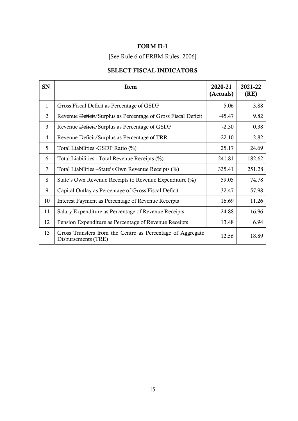# [See Rule 6 of FRBM Rules, 2006]

# SELECT FISCAL INDICATORS

| <b>SN</b>    | Item                                                                              | 2020-21<br>(Actuals) | 2021-22<br>(RE) |
|--------------|-----------------------------------------------------------------------------------|----------------------|-----------------|
| $\mathbf{1}$ | Gross Fiscal Deficit as Percentage of GSDP                                        | 5.06                 | 3.88            |
| 2            | Revenue Deficit/Surplus as Percentage of Gross Fiscal Deficit                     | $-45.47$             | 9.82            |
| 3            | Revenue Deficit/Surplus as Percentage of GSDP                                     | $-2.30$              | 0.38            |
| 4            | Revenue Deficit/Surplus as Percentage of TRR                                      | $-22.10$             | 2.82            |
| 5            | Total Liabilities -GSDP Ratio (%)                                                 | 25.17                | 24.69           |
| 6            | Total Liabilities - Total Revenue Receipts (%)                                    | 241.81               | 182.62          |
| 7            | Total Liabilities – State's Own Revenue Receipts (%)                              | 335.41               | 251.28          |
| 8            | State's Own Revenue Receipts to Revenue Expenditure (%)                           | 59.05                | 74.78           |
| 9            | Capital Outlay as Percentage of Gross Fiscal Deficit                              | 32.47                | 57.98           |
| 10           | Interest Payment as Percentage of Revenue Receipts                                | 16.69                | 11.26           |
| 11           | Salary Expenditure as Percentage of Revenue Receipts                              | 24.88                | 16.96           |
| 12           | Pension Expenditure as Percentage of Revenue Receipts                             | 13.48                | 6.94            |
| 13           | Gross Transfers from the Centre as Percentage of Aggregate<br>Disbursements (TRE) | 12.56                | 18.89           |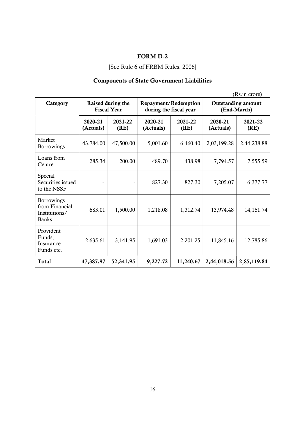# [See Rule 6 of FRBM Rules, 2006]

# Components of State Government Liabilities

(Rs.in crore)

| Category                                                      | Raised during the<br><b>Fiscal Year</b> |                 | Repayment/Redemption<br>during the fiscal year |                 | <b>Outstanding amount</b><br>(End-March) |                 |  |
|---------------------------------------------------------------|-----------------------------------------|-----------------|------------------------------------------------|-----------------|------------------------------------------|-----------------|--|
|                                                               | 2020-21<br>(Actuals)                    | 2021-22<br>(RE) | 2020-21<br>(Actuals)                           | 2021-22<br>(RE) | 2020-21<br>(Actuals)                     | 2021-22<br>(RE) |  |
| Market<br><b>Borrowings</b>                                   | 43,784.00                               | 47,500.00       | 5,001.60                                       | 6,460.40        | 2,03,199.28                              | 2,44,238.88     |  |
| Loans from<br>285.34<br>Centre                                |                                         | 200.00          | 489.70                                         | 438.98          | 7,794.57                                 | 7,555.59        |  |
| Special<br>Securities issued<br>to the NSSF                   |                                         |                 | 827.30                                         | 827.30          | 7,205.07                                 | 6,377.77        |  |
| Borrowings<br>from Financial<br>Institutions/<br><b>Banks</b> | 683.01                                  | 1,500.00        | 1,218.08                                       | 1,312.74        | 13,974.48                                | 14, 161. 74     |  |
| Provident<br>Funds,<br>Insurance<br>Funds etc.                | 2,635.61                                | 3,141.95        | 1,691.03                                       | 2,201.25        | 11,845.16                                | 12,785.86       |  |
| <b>Total</b>                                                  | 47,387.97                               | 52,341.95       | 9,227.72                                       | 11,240.67       | 2,44,018.56                              | 2,85,119.84     |  |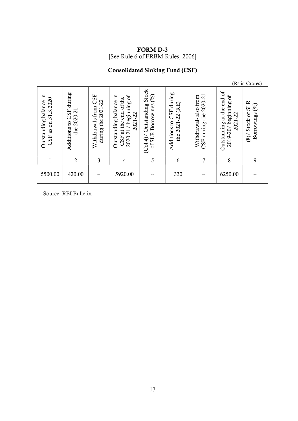FORM D-3 [See Rule 6 of FRBM Rules, 2006]

# Consolidated Sinking Fund (CSF)

|                                                                                                 |                                                              |                                                        |                                                                                              |                                                                  |                                                                       |                                                             |                                                                          | (Rs.in Crores)                                      |  |
|-------------------------------------------------------------------------------------------------|--------------------------------------------------------------|--------------------------------------------------------|----------------------------------------------------------------------------------------------|------------------------------------------------------------------|-----------------------------------------------------------------------|-------------------------------------------------------------|--------------------------------------------------------------------------|-----------------------------------------------------|--|
| 묘.<br>.3.2020<br>Outstanding balance<br>$\overline{31}$ .<br>$\mathfrak{m}$<br>3g<br><b>CSF</b> | during<br>2020-21<br>CSF<br>$\mathbf{c}$<br>Additions<br>the | CSF<br>2021-22<br>from<br>Withdrawals<br>the<br>during | Outstanding balance in<br>beginning of<br>end of the<br>2021-22<br>at the<br>2020-21/<br>CSF | Stock<br>(%)<br>Outstanding<br>Borrowings<br>of SLR<br>È.<br>Col | $CSF$ during<br>(RE)<br>2021-22<br>$\overline{c}$<br>Additions<br>the | 2020-21<br>from<br>also<br>during the<br>Withdrawal-<br>CSF | ď<br>beginning of<br>end<br>at the<br>2021-22<br>Outstanding<br>2019-20/ | Stock of SLR<br>(%)<br>Borrowings<br>$\frac{8}{10}$ |  |
|                                                                                                 | $\overline{2}$                                               | 3                                                      | 4                                                                                            | 5                                                                | 6                                                                     | 7                                                           | 8                                                                        | 9                                                   |  |
| 5500.00                                                                                         | 420.00                                                       | --                                                     | 5920.00                                                                                      |                                                                  | 330                                                                   |                                                             | 6250.00                                                                  | --                                                  |  |

Source: RBI Bulletin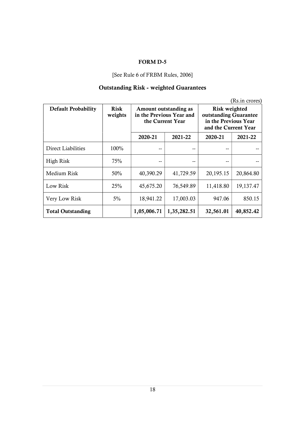#### [See Rule 6 of FRBM Rules, 2006]

# Outstanding Risk - weighted Guarantees

|                            |                        |                                                                       |             |           | (Rs.in crores) |                                                                                        |  |
|----------------------------|------------------------|-----------------------------------------------------------------------|-------------|-----------|----------------|----------------------------------------------------------------------------------------|--|
| <b>Default Probability</b> | <b>Risk</b><br>weights | Amount outstanding as<br>in the Previous Year and<br>the Current Year |             |           |                | Risk weighted<br>outstanding Guarantee<br>in the Previous Year<br>and the Current Year |  |
|                            |                        | 2020-21                                                               | 2021-22     | 2020-21   | 2021-22        |                                                                                        |  |
| Direct Liabilities         | 100%                   |                                                                       |             |           |                |                                                                                        |  |
| High Risk                  | 75%                    | --                                                                    |             | --        | --             |                                                                                        |  |
| Medium Risk                | 50%                    | 40,390.29                                                             | 41,729.59   | 20,195.15 | 20,864.80      |                                                                                        |  |
| Low Risk                   | 25%                    | 45,675.20                                                             | 76,549.89   | 11,418.80 | 19,137.47      |                                                                                        |  |
| Very Low Risk              | $5\%$                  | 18,941.22                                                             | 17,003.03   | 947.06    | 850.15         |                                                                                        |  |
| <b>Total Outstanding</b>   |                        | 1,05,006.71                                                           | 1,35,282.51 | 32,561.01 | 40,852.42      |                                                                                        |  |